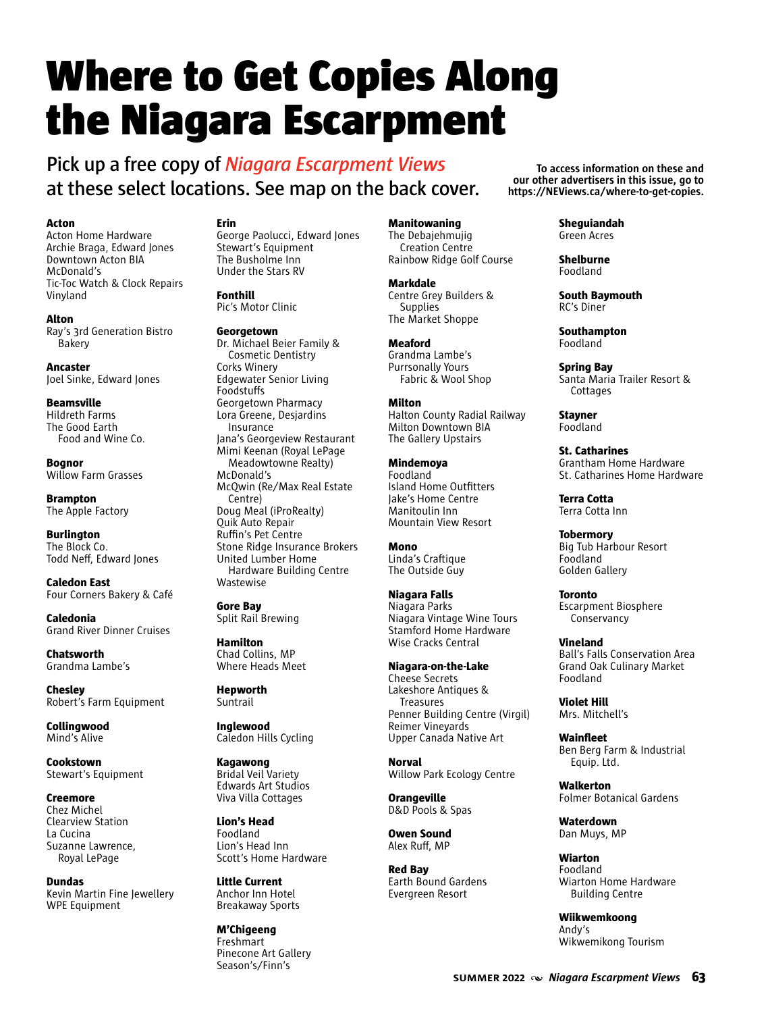# Where to Get Copies Along the Niagara Escarpment

# **Pick up a free copy of** *Niagara Escarpment Views* **at these select locations. See map on the back cover.**

#### **Acton**

Acton Home Hardware Archie Braga, Edward Jones Downtown Acton BIA McDonald's Tic-Toc Watch & Clock Repairs Vinyland

#### **Alton**

Ray's 3rd Generation Bistro Bakery

**Ancaster** Joel Sinke, Edward Jones

**Beamsville** Hildreth Farms The Good Earth Food and Wine Co.

**Bognor** Willow Farm Grasses

**Brampton** The Apple Factory

**Burlington** The Block Co. Todd Neff, Edward Jones

**Caledon East** Four Corners Bakery & Café

**Caledonia** Grand River Dinner Cruises

**Chatsworth** Grandma Lambe's

**Chesley** Robert's Farm Equipment

**Collingwood** Mind's Alive

**Cookstown** Stewart's Equipment

# **Creemore** Chez Michel

Clearview Station La Cucina Suzanne Lawrence, Royal LePage

**Dundas** Kevin Martin Fine Jewellery WPE Equipment

# **Erin**

George Paolucci, Edward Jones Stewart's Equipment The Busholme Inn Under the Stars RV

### **Fonthill**

Pic's Motor Clinic

#### **Georgetown**

Dr. Michael Beier Family & Cosmetic Dentistry Corks Winery Edgewater Senior Living Foodstuffs Georgetown Pharmacy Lora Greene, Desjardins Insurance Jana's Georgeview Restaurant Mimi Keenan (Royal LePage Meadowtowne Realty) McDonald's McQwin (Re/Max Real Estate Centre) Doug Meal (iProRealty) Quik Auto Repair Ruffin's Pet Centre Stone Ridge Insurance Brokers United Lumber Home Hardware Building Centre Wastewise

**Gore Bay** Split Rail Brewing

**Hamilton** Chad Collins, MP Where Heads Meet

**Hepworth Suntrail** 

**Inglewood** Caledon Hills Cycling

**Kagawong** Bridal Veil Variety Edwards Art Studios Viva Villa Cottages

**Lion's Head** Foodland Lion's Head Inn Scott's Home Hardware

**Little Current** Anchor Inn Hotel Breakaway Sports

**M'Chigeeng** Freshmart Pinecone Art Gallery Season's/Finn's

**Manitowaning**

The Debajehmujig Creation Centre Rainbow Ridge Golf Course

**Markdale**

Centre Grey Builders & **Supplies** The Market Shoppe

#### **Meaford** Grandma Lambe's

Purrsonally Yours Fabric & Wool Shop

# **Milton**

Halton County Radial Railway Milton Downtown BIA The Gallery Upstairs

**Mindemoya** Foodland Island Home Outfitters Jake's Home Centre Manitoulin Inn Mountain View Resort

#### **Mono** Linda's Craftique The Outside Guy

# **Niagara Falls** Niagara Parks

Niagara Vintage Wine Tours Stamford Home Hardware Wise Cracks Central

#### **Niagara-on-the-Lake**  Cheese Secrets Lakeshore Antiques & Treasures Penner Building Centre (Virgil) Reimer Vineyards Upper Canada Native Art

**Norval** Willow Park Ecology Centre

**Orangeville** D&D Pools & Spas

**Owen Sound** Alex Ruff, MP

**Red Bay** Earth Bound Gardens Evergreen Resort

**To access information on these and our other advertisers in this issue, go to https://NEViews.ca/where-to-get-copies.**

> **Sheguiandah** Green Acres

#### **Shelburne** Foodland

**South Baymouth** RC's Diner

# **Southampton**

**Cottages** 

Foodland

**Spring Bay** Santa Maria Trailer Resort &

**Stayner** Foodland

**St. Catharines** Grantham Home Hardware St. Catharines Home Hardware

**Terra Cotta** Terra Cotta Inn

**Tobermory** Big Tub Harbour Resort Foodland Golden Gallery

**Toronto** Escarpment Biosphere Conservancy

**Vineland** Ball's Falls Conservation Area Grand Oak Culinary Market Foodland

**Violet Hill** Mrs. Mitchell's

**Wainfleet** Ben Berg Farm & Industrial Equip. Ltd.

**Walkerton** Folmer Botanical Gardens

**Waterdown** Dan Muys, MP

**Wiarton** Foodland Wiarton Home Hardware Building Centre

**Wiikwemkoong** Andy's Wikwemikong Tourism